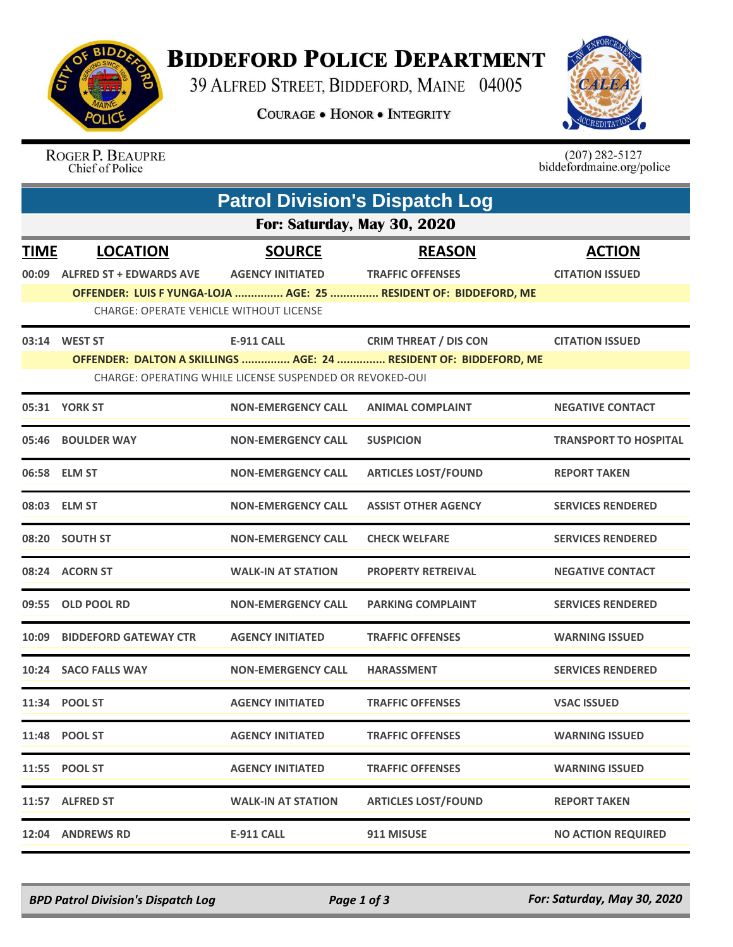

## **BIDDEFORD POLICE DEPARTMENT**

39 ALFRED STREET, BIDDEFORD, MAINE 04005

**COURAGE . HONOR . INTEGRITY** 



ROGER P. BEAUPRE Chief of Police

 $(207)$  282-5127<br>biddefordmaine.org/police

|             | <b>Patrol Division's Dispatch Log</b>                    |                           |                                                                   |                              |  |  |  |  |  |
|-------------|----------------------------------------------------------|---------------------------|-------------------------------------------------------------------|------------------------------|--|--|--|--|--|
|             | For: Saturday, May 30, 2020                              |                           |                                                                   |                              |  |  |  |  |  |
| <b>TIME</b> | <b>LOCATION</b>                                          | <b>SOURCE</b>             | <b>REASON</b>                                                     | <b>ACTION</b>                |  |  |  |  |  |
|             | 00:09 ALFRED ST + EDWARDS AVE                            | <b>AGENCY INITIATED</b>   | <b>TRAFFIC OFFENSES</b>                                           | <b>CITATION ISSUED</b>       |  |  |  |  |  |
|             |                                                          |                           | OFFENDER: LUIS F YUNGA-LOJA  AGE: 25  RESIDENT OF: BIDDEFORD, ME  |                              |  |  |  |  |  |
|             | <b>CHARGE: OPERATE VEHICLE WITHOUT LICENSE</b>           |                           |                                                                   |                              |  |  |  |  |  |
|             | 03:14 WEST ST                                            |                           | E-911 CALL CRIM THREAT / DIS CON                                  | <b>CITATION ISSUED</b>       |  |  |  |  |  |
|             |                                                          |                           | OFFENDER: DALTON A SKILLINGS  AGE: 24  RESIDENT OF: BIDDEFORD, ME |                              |  |  |  |  |  |
|             | CHARGE: OPERATING WHILE LICENSE SUSPENDED OR REVOKED-OUI |                           |                                                                   |                              |  |  |  |  |  |
|             | 05:31 YORK ST                                            | <b>NON-EMERGENCY CALL</b> | <b>ANIMAL COMPLAINT</b>                                           | <b>NEGATIVE CONTACT</b>      |  |  |  |  |  |
|             | 05:46 BOULDER WAY                                        | <b>NON-EMERGENCY CALL</b> | <b>SUSPICION</b>                                                  | <b>TRANSPORT TO HOSPITAL</b> |  |  |  |  |  |
|             | 06:58 ELM ST                                             | <b>NON-EMERGENCY CALL</b> | <b>ARTICLES LOST/FOUND</b>                                        | <b>REPORT TAKEN</b>          |  |  |  |  |  |
|             | 08:03 ELM ST                                             | <b>NON-EMERGENCY CALL</b> | <b>ASSIST OTHER AGENCY</b>                                        | <b>SERVICES RENDERED</b>     |  |  |  |  |  |
|             | 08:20 SOUTH ST                                           | <b>NON-EMERGENCY CALL</b> | <b>CHECK WELFARE</b>                                              | <b>SERVICES RENDERED</b>     |  |  |  |  |  |
|             | 08:24 ACORN ST                                           | <b>WALK-IN AT STATION</b> | <b>PROPERTY RETREIVAL</b>                                         | <b>NEGATIVE CONTACT</b>      |  |  |  |  |  |
| 09:55       | <b>OLD POOL RD</b>                                       | <b>NON-EMERGENCY CALL</b> | <b>PARKING COMPLAINT</b>                                          | <b>SERVICES RENDERED</b>     |  |  |  |  |  |
|             | 10:09 BIDDEFORD GATEWAY CTR                              | <b>AGENCY INITIATED</b>   | <b>TRAFFIC OFFENSES</b>                                           | <b>WARNING ISSUED</b>        |  |  |  |  |  |
|             | 10:24 SACO FALLS WAY                                     | <b>NON-EMERGENCY CALL</b> | <b>HARASSMENT</b>                                                 | <b>SERVICES RENDERED</b>     |  |  |  |  |  |
|             | 11:34 POOL ST                                            | <b>AGENCY INITIATED</b>   | <b>TRAFFIC OFFENSES</b>                                           | <b>VSAC ISSUED</b>           |  |  |  |  |  |
|             | 11:48 POOL ST                                            | <b>AGENCY INITIATED</b>   | <b>TRAFFIC OFFENSES</b>                                           | <b>WARNING ISSUED</b>        |  |  |  |  |  |
|             | 11:55 POOL ST                                            | <b>AGENCY INITIATED</b>   | <b>TRAFFIC OFFENSES</b>                                           | <b>WARNING ISSUED</b>        |  |  |  |  |  |
|             | 11:57 ALFRED ST                                          | <b>WALK-IN AT STATION</b> | <b>ARTICLES LOST/FOUND</b>                                        | <b>REPORT TAKEN</b>          |  |  |  |  |  |
|             | 12:04 ANDREWS RD                                         | <b>E-911 CALL</b>         | 911 MISUSE                                                        | <b>NO ACTION REQUIRED</b>    |  |  |  |  |  |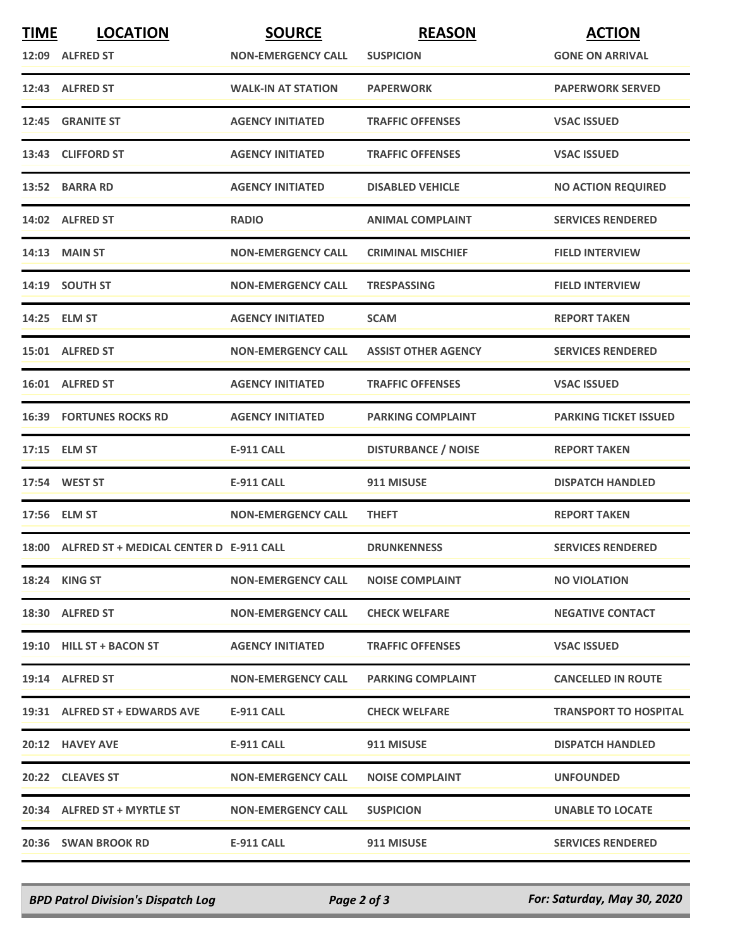| <b>TIME</b> | <b>LOCATION</b>                               | <b>SOURCE</b>             | <b>REASON</b>              | <b>ACTION</b>                |
|-------------|-----------------------------------------------|---------------------------|----------------------------|------------------------------|
|             | 12:09 ALFRED ST                               | <b>NON-EMERGENCY CALL</b> | <b>SUSPICION</b>           | <b>GONE ON ARRIVAL</b>       |
|             | 12:43 ALFRED ST                               | <b>WALK-IN AT STATION</b> | <b>PAPERWORK</b>           | <b>PAPERWORK SERVED</b>      |
|             | 12:45 GRANITE ST                              | <b>AGENCY INITIATED</b>   | <b>TRAFFIC OFFENSES</b>    | <b>VSAC ISSUED</b>           |
|             | 13:43 CLIFFORD ST                             | <b>AGENCY INITIATED</b>   | <b>TRAFFIC OFFENSES</b>    | <b>VSAC ISSUED</b>           |
|             | 13:52 BARRA RD                                | <b>AGENCY INITIATED</b>   | <b>DISABLED VEHICLE</b>    | <b>NO ACTION REQUIRED</b>    |
|             | 14:02 ALFRED ST                               | <b>RADIO</b>              | <b>ANIMAL COMPLAINT</b>    | <b>SERVICES RENDERED</b>     |
|             | <b>14:13 MAIN ST</b>                          | <b>NON-EMERGENCY CALL</b> | <b>CRIMINAL MISCHIEF</b>   | <b>FIELD INTERVIEW</b>       |
|             | 14:19 SOUTH ST                                | <b>NON-EMERGENCY CALL</b> | <b>TRESPASSING</b>         | <b>FIELD INTERVIEW</b>       |
|             | 14:25 ELM ST                                  | <b>AGENCY INITIATED</b>   | <b>SCAM</b>                | <b>REPORT TAKEN</b>          |
|             | 15:01 ALFRED ST                               | <b>NON-EMERGENCY CALL</b> | <b>ASSIST OTHER AGENCY</b> | <b>SERVICES RENDERED</b>     |
|             | 16:01 ALFRED ST                               | <b>AGENCY INITIATED</b>   | <b>TRAFFIC OFFENSES</b>    | <b>VSAC ISSUED</b>           |
|             | <b>16:39 FORTUNES ROCKS RD</b>                | <b>AGENCY INITIATED</b>   | <b>PARKING COMPLAINT</b>   | <b>PARKING TICKET ISSUED</b> |
|             | 17:15 ELM ST                                  | <b>E-911 CALL</b>         | <b>DISTURBANCE / NOISE</b> | <b>REPORT TAKEN</b>          |
|             | 17:54 WEST ST                                 | <b>E-911 CALL</b>         | 911 MISUSE                 | <b>DISPATCH HANDLED</b>      |
|             | 17:56 ELM ST                                  | <b>NON-EMERGENCY CALL</b> | <b>THEFT</b>               | <b>REPORT TAKEN</b>          |
|             | 18:00 ALFRED ST + MEDICAL CENTER D E-911 CALL |                           | <b>DRUNKENNESS</b>         | <b>SERVICES RENDERED</b>     |
|             | 18:24 KING ST                                 | <b>NON-EMERGENCY CALL</b> | <b>NOISE COMPLAINT</b>     | <b>NO VIOLATION</b>          |
|             | 18:30 ALFRED ST                               | <b>NON-EMERGENCY CALL</b> | <b>CHECK WELFARE</b>       | <b>NEGATIVE CONTACT</b>      |
|             | 19:10 HILL ST + BACON ST                      | <b>AGENCY INITIATED</b>   | <b>TRAFFIC OFFENSES</b>    | <b>VSAC ISSUED</b>           |
|             | 19:14 ALFRED ST                               | <b>NON-EMERGENCY CALL</b> | <b>PARKING COMPLAINT</b>   | <b>CANCELLED IN ROUTE</b>    |
|             | 19:31 ALFRED ST + EDWARDS AVE                 | <b>E-911 CALL</b>         | <b>CHECK WELFARE</b>       | <b>TRANSPORT TO HOSPITAL</b> |
|             | 20:12 HAVEY AVE                               | E-911 CALL                | 911 MISUSE                 | <b>DISPATCH HANDLED</b>      |
|             | 20:22 CLEAVES ST                              | <b>NON-EMERGENCY CALL</b> | <b>NOISE COMPLAINT</b>     | <b>UNFOUNDED</b>             |
|             | 20:34 ALFRED ST + MYRTLE ST                   | <b>NON-EMERGENCY CALL</b> | <b>SUSPICION</b>           | <b>UNABLE TO LOCATE</b>      |
|             | 20:36 SWAN BROOK RD                           | E-911 CALL                | 911 MISUSE                 | <b>SERVICES RENDERED</b>     |

*BPD Patrol Division's Dispatch Log Page 2 of 3 For: Saturday, May 30, 2020*